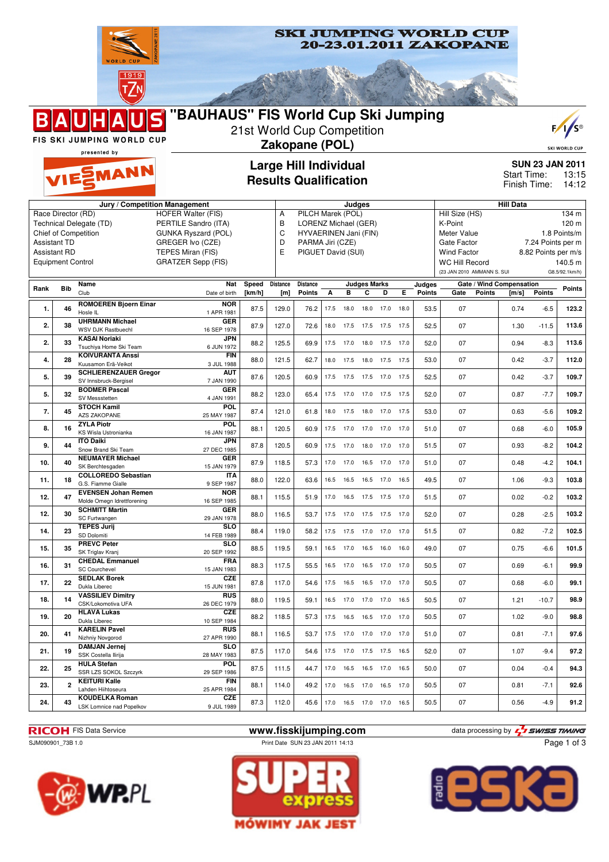

**16. 31 CHEDAL Emmanuel** SC Courchevel

**17. 22 SEDLAK Borek** Dukla Liberec

**19. 20 HLAVA Lukas** Dukla Libere

**20.** 41 **KARELIN Pavel** Nizhniy Novgorod

**21. 19 DAMJAN Jernej** SSK Costella Ilirija

SSR LZS SOKOL Szczyrk

LSK Lomnice nad Popelkov

**REWPPL** 

Lahden Hiihtoseura

**22. 25 HULA Stefan**

**23. 2 KEITURI Kalle**

**24. 43 KOUDELKA Roman**

**18. 14 VASSILIEV Dimitry** CSK/Lokomotiva UFA



15 JAN 1983 88.3 117.5 55.5 16.5 17.0 16.5 17.0 17.0 50.5 07 0.69 -6.1 **99.9**

15 JUN 1981 87.8 117.0 54.6 17.5 16.5 16.5 17.0 17.0 50.5 07 0.68 -6.0 **99.1**

26 DEC 1979 88.0 119.5 59.1 16.5 17.0 17.0 17.0 16.5 50.5 07 1.21 -10.7 **98.9**

10 SEP 1984 88.2 118.5 57.3 17.5 16.5 16.5 17.0 17.0 50.5 07 1.02 -9.0 **98.8**

27 APR 1990 88.1 116.5 53.7 17.5 17.0 17.0 17.0 17.0 51.0 07 0.81 -7.1 **97.6**

28 MAY 1983 87.5 117.0 54.6 17.5 17.0 17.5 17.5 16.5 52.0 07 1.07 -9.4 **97.2**

29 SEP 1986 87.5 111.5 44.7 17.0 16.5 16.5 17.0 16.5 50.0 07 0.04 -0.4 **94.3**

25 APR 1984 88.1 114.0 49.2 17.0 16.5 17.0 16.5 17.0 50.5 07 0.81 -7.1 **92.6**

9 JUL 1989 87.3 112.0 45.6 17.0 16.5 17.0 17.0 16.5 50.5 07 0.56 -4.9 **91.2**

**FRA**

**CZE**

**POL**

CZE<br>15 JUN 1981

**RUS**<br>26 DEC 1979

**RUS**<br>27 APR 1990

**SLO**<br>28 MAY 1983

**FIN**<br>25 APR 1984

**CZE**<br>9 JUL 1989







Page 1 of 3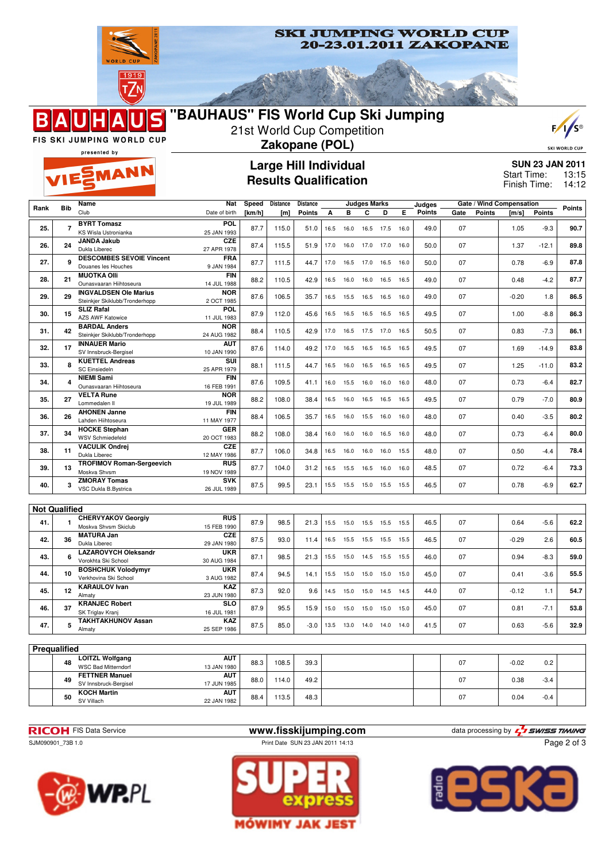

FIS SKI JUMPING WORLD CUP

R



21st World Cup Competition **Zakopane (POL)**

|      |                      | presented by                                         | ∠anopano (i O∟)           |                 |                        |                                                              |      |           |                          |                |      |                  |                                                   | <b>SKI WORLD CUP</b>        |               |                                          |  |
|------|----------------------|------------------------------------------------------|---------------------------|-----------------|------------------------|--------------------------------------------------------------|------|-----------|--------------------------|----------------|------|------------------|---------------------------------------------------|-----------------------------|---------------|------------------------------------------|--|
|      |                      | VIESMANN                                             |                           |                 |                        | <b>Large Hill Individual</b><br><b>Results Qualification</b> |      |           |                          |                |      |                  |                                                   | Start Time:<br>Finish Time: |               | <b>SUN 23 JAN 2011</b><br>13:15<br>14:12 |  |
| Rank | <b>Bib</b>           | Name<br>Club                                         | Nat<br>Date of birth      | Speed<br>[km/h] | <b>Distance</b><br>[m] | Distance<br><b>Points</b>                                    | А    | в         | <b>Judges Marks</b><br>С | D              | Е    | Judges<br>Points | Gate / Wind Compensation<br><b>Points</b><br>Gate | [m/s]                       | <b>Points</b> | Points                                   |  |
|      |                      | <b>BYRT Tomasz</b>                                   | <b>POL</b>                |                 |                        |                                                              |      |           |                          |                |      |                  |                                                   |                             |               |                                          |  |
| 25.  | $\overline{7}$       | KS Wisla Ustronianka                                 | 25 JAN 1993               | 87.7            | 115.0                  | 51.0                                                         |      | 16.5 16.0 |                          | 16.5 17.5 16.0 |      | 49.0             | 07                                                | 1.05                        | $-9.3$        | 90.7                                     |  |
| 26.  | 24                   | <b>JANDA Jakub</b><br>Dukla Liberec                  | CZE<br>27 APR 1978        | 87.4            | 115.5                  | 51.9                                                         | 17.0 | 16.0      | 17.0                     | 17.0           | 16.0 | 50.0             | 07                                                | 1.37                        | $-12.1$       | 89.8                                     |  |
| 27.  | 9                    | <b>DESCOMBES SEVOIE Vincent</b>                      | FRA                       | 87.7            | 111.5                  | 44.7                                                         | 17.0 | 16.5      | 17.0                     | 16.5           | 16.0 | 50.0             | 07                                                | 0.78                        | $-6.9$        | 87.8                                     |  |
|      |                      | Douanes les Houches<br><b>MUOTKA Olli</b>            | 9 JAN 1984<br><b>FIN</b>  |                 |                        |                                                              |      |           |                          |                |      |                  |                                                   |                             |               |                                          |  |
| 28.  | 21                   | Ounasvaaran Hiihtoseura                              | 14 JUL 1988               | 88.2            | 110.5                  | 42.9                                                         | 16.5 | 16.0      | 16.0                     | 16.5           | 16.5 | 49.0             | 07                                                | 0.48                        | $-4.2$        | 87.7                                     |  |
| 29.  | 29                   | <b>INGVALDSEN Ole Marius</b>                         | <b>NOR</b>                | 87.6            | 106.5                  | 35.7                                                         | 16.5 | 15.5      |                          | 16.5 16.5      | 16.0 | 49.0             | 07                                                | $-0.20$                     | 1.8           | 86.5                                     |  |
|      |                      | Steinkjer Skiklubb/Tronderhopp                       | 2 OCT 1985                |                 |                        |                                                              |      |           |                          |                |      |                  |                                                   |                             |               |                                          |  |
| 30.  | 15                   | <b>SLIZ Rafal</b><br><b>AZS AWF Katowice</b>         | POL<br>11 JUL 1983        | 87.9            | 112.0                  | 45.6                                                         | 16.5 | 16.5      |                          | 16.5 16.5      | 16.5 | 49.5             | 07                                                | 1.00                        | $-8.8$        | 86.3                                     |  |
| 31.  | 42                   | <b>BARDAL Anders</b>                                 | <b>NOR</b>                | 88.4            | 110.5                  | 42.9                                                         | 17.0 | 16.5      | 17.5                     | 17.0           | 16.5 | 50.5             | 07                                                | 0.83                        | $-7.3$        | 86.1                                     |  |
|      |                      | Steinkjer Skiklubb/Tronderhopp                       | 24 AUG 1982               |                 |                        |                                                              |      |           |                          |                |      |                  |                                                   |                             |               |                                          |  |
| 32.  | 17                   | <b>INNAUER Mario</b><br>SV Innsbruck-Bergisel        | <b>AUT</b><br>10 JAN 1990 | 87.6            | 114.0                  | 49.2                                                         | 17.0 | 16.5      | 16.5                     | 16.5           | 16.5 | 49.5             | 07                                                | 1.69                        | $-14.9$       | 83.8                                     |  |
|      |                      | <b>KUETTEL Andreas</b>                               | SUI                       |                 |                        |                                                              |      |           |                          |                |      |                  |                                                   |                             |               |                                          |  |
| 33.  | 8                    | <b>SC Einsiedeln</b>                                 | 25 APR 1979               | 88.1            | 111.5                  | 44.7                                                         | 16.5 | 16.0      |                          | 16.5 16.5      | 16.5 | 49.5             | 07                                                | 1.25                        | $-11.0$       | 83.2                                     |  |
| 34.  | 4                    | <b>NIEMI Sami</b><br>Ounasvaaran Hiihtoseura         | <b>FIN</b><br>16 FEB 1991 | 87.6            | 109.5                  | 41.1                                                         | 16.0 | 15.5      | 16.0                     | 16.0           | 16.0 | 48.0             | 07                                                | 0.73                        | $-6.4$        | 82.7                                     |  |
| 35.  | 27                   | <b>VELTA Rune</b>                                    | <b>NOR</b>                | 88.2            | 108.0                  | 38.4                                                         | 16.5 | 16.0      | 16.5                     | 16.5           | 16.5 | 49.5             | 07                                                | 0.79                        | $-7.0$        | 80.9                                     |  |
|      |                      | Lommedalen II<br><b>AHONEN Janne</b>                 | 19 JUL 1989<br><b>FIN</b> |                 |                        |                                                              |      |           |                          |                |      |                  |                                                   |                             |               |                                          |  |
| 36.  | 26                   | Lahden Hiihtoseura                                   | 11 MAY 1977               | 88.4            | 106.5                  | 35.7                                                         | 16.5 | 16.0      | 15.5                     | 16.0           | 16.0 | 48.0             | 07                                                | 0.40                        | $-3.5$        | 80.2                                     |  |
| 37.  | 34                   | <b>HOCKE Stephan</b><br><b>WSV Schmiedefeld</b>      | <b>GER</b><br>20 OCT 1983 | 88.2            | 108.0                  | 38.4                                                         | 16.0 | 16.0      | 16.0                     | 16.5           | 16.0 | 48.0             | 07                                                | 0.73                        | $-6.4$        | 80.0                                     |  |
| 38.  | 11                   | <b>VACULIK Ondrej</b><br>Dukla Liberec               | CZE<br>12 MAY 1986        | 87.7            | 106.0                  | 34.8                                                         |      | 16.5 16.0 |                          | 16.0 16.0      | 15.5 | 48.0             | 07                                                | 0.50                        | $-4.4$        | 78.4                                     |  |
| 39.  | 13                   | <b>TROFIMOV Roman-Sergeevich</b>                     | <b>RUS</b>                | 87.7            | 104.0                  | 31.2                                                         | 16.5 | 15.5      | 16.5 16.0                |                | 16.0 | 48.5             | 07                                                | 0.72                        | $-6.4$        | 73.3                                     |  |
|      |                      | Moskva Shvsm<br><b>ZMORAY Tomas</b>                  | 19 NOV 1989<br><b>SVK</b> |                 |                        |                                                              |      |           |                          |                |      |                  |                                                   |                             |               |                                          |  |
| 40.  | 3                    | VSC Dukla B.Bystrica                                 | 26 JUL 1989               | 87.5            | 99.5                   | 23.1                                                         |      |           | 15.5 15.5 15.0 15.5      |                | 15.5 | 46.5             | 07                                                | 0.78                        | $-6.9$        | 62.7                                     |  |
|      |                      |                                                      |                           |                 |                        |                                                              |      |           |                          |                |      |                  |                                                   |                             |               |                                          |  |
|      | <b>Not Qualified</b> |                                                      |                           |                 |                        |                                                              |      |           |                          |                |      |                  |                                                   |                             |               |                                          |  |
| 41.  | 1                    | <b>CHERVYAKOV Georgiv</b><br>Moskva Shvsm Skiclub    | <b>RUS</b><br>15 FEB 1990 | 87.9            | 98.5                   | 21.3                                                         | 15.5 | 15.0      | 15.5                     | 15.5           | 15.5 | 46.5             | 07                                                | 0.64                        | $-5.6$        | 62.2                                     |  |
|      |                      | <b>MATURA Jan</b>                                    | CZE                       |                 |                        |                                                              |      |           |                          |                |      |                  |                                                   |                             |               |                                          |  |
| 42.  | 36                   | Dukla Liberec                                        | 29 JAN 1980               | 87.5            | 93.0                   | 11.4                                                         | 16.5 | 15.5      | 15.5                     | 15.5           | 15.5 | 46.5             | 07                                                | $-0.29$                     | 2.6           | 60.5                                     |  |
| 43.  | 6                    | <b>LAZAROVYCH Oleksandr</b><br>Vorokhta Ski School   | <b>UKR</b>                | 87.1            | 98.5                   | 21.3                                                         | 15.5 | 15.0      | 14.5 15.5                |                | 15.5 | 46.0             | 07                                                | 0.94                        | $-8.3$        | 59.0                                     |  |
|      |                      | <b>BOSHCHUK Volodymyr</b>                            | 30 AUG 1984<br><b>UKR</b> |                 |                        |                                                              |      |           |                          |                |      |                  |                                                   |                             |               |                                          |  |
| 44.  | 10                   | Verkhovina Ski School                                | 3 AUG 1982                | 87.4            | 94.5                   | 14.1                                                         | 15.5 | 15.0      |                          | 15.0 15.0      | 15.0 | 45.0             | 07                                                | 0.41                        | $-3.6$        | 55.5                                     |  |
| 45.  | 12                   | <b>KARAULOV Ivan</b><br>Almaty                       | <b>KAZ</b><br>23 JUN 1980 | 87.3            | 92.0                   | 9.6                                                          |      | 14.5 15.0 | 15.0 14.5 14.5           |                |      | 44.0             | 07                                                | $-0.12$                     | 1.1           | 54.7                                     |  |
| 46.  | 37                   | <b>KRANJEC Robert</b>                                | <b>SLO</b>                | 87.9            | 95.5                   | 15.9                                                         | 15.0 |           | 15.0 15.0                | 15.0           | 15.0 | 45.0             | 07                                                | 0.81                        | $-7.1$        | 53.8                                     |  |
|      |                      | SK Triglav Kranj                                     | 16 JUL 1981               |                 |                        |                                                              |      |           |                          |                |      |                  |                                                   |                             |               |                                          |  |
| 47.  | 5                    | <b>TAKHTAKHUNOV Assan</b><br>Almaty                  | KAZ<br>25 SEP 1986        | 87.5            | 85.0                   | $-3.0$                                                       |      |           | 13.5 13.0 14.0 14.0 14.0 |                |      | 41.5             | 07                                                | 0.63                        | $-5.6$        | 32.9                                     |  |
|      |                      |                                                      |                           |                 |                        |                                                              |      |           |                          |                |      |                  |                                                   |                             |               |                                          |  |
|      | Prequalified         |                                                      |                           |                 |                        |                                                              |      |           |                          |                |      |                  |                                                   |                             |               |                                          |  |
|      | 48                   | <b>LOITZL Wolfgang</b><br><b>WSC Bad Mitterndorf</b> | <b>AUT</b><br>13 JAN 1980 | 88.3            | 108.5                  | 39.3                                                         |      |           |                          |                |      |                  | 07                                                | $-0.02$                     | 0.2           |                                          |  |
|      | 49                   | <b>FETTNER Manuel</b>                                | <b>AUT</b>                |                 |                        |                                                              |      |           |                          |                |      |                  |                                                   |                             |               |                                          |  |
|      |                      | SV Innsbruck-Bergisel                                | 17 JUN 1985               | 88.0            | 114.0                  | 49.2                                                         |      |           |                          |                |      |                  | 07                                                | 0.38                        | $-3.4$        |                                          |  |

**<sup>50</sup> KOCH Martin** SV Villach

**RICOH** FIS Data Service **www.fisskijumping.com** data processing by  $\frac{7}{2}$  SWISS TIMING SJM090901\_73B 1.0 Print Date SUN 23 JAN 2011 14:13

22 JAN 1982 88.4 113.5 48.3 **48.3** 07 0.04 -0.4

17 JUN 1985

**AUT**<br>22 JAN 1982









Page 2 of 3

 $F/I/S^{\circ}$ 

SKI WORLD CUP